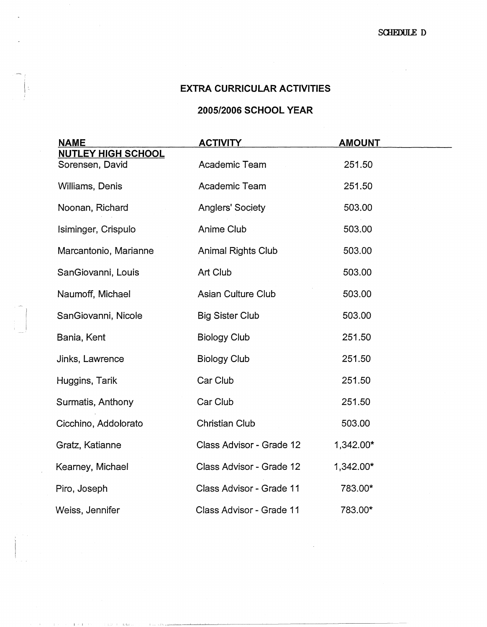## **EXTRA CURRICULAR ACTIVITIES**

## **2005/2006 SCHOOL YEAR**

| <b>NAME</b>                                  | <b>ACTIVITY</b>           | <b>AMOUNT</b> |  |
|----------------------------------------------|---------------------------|---------------|--|
| <b>NUTLEY HIGH SCHOOL</b><br>Sorensen, David | Academic Team             | 251.50        |  |
| Williams, Denis                              | Academic Team             | 251.50        |  |
| Noonan, Richard                              | <b>Anglers' Society</b>   | 503.00        |  |
| Isiminger, Crispulo                          | Anime Club                | 503.00        |  |
| Marcantonio, Marianne                        | <b>Animal Rights Club</b> | 503.00        |  |
| SanGiovanni, Louis                           | Art Club                  | 503.00        |  |
| Naumoff, Michael                             | Asian Culture Club        | 503.00        |  |
| SanGiovanni, Nicole                          | <b>Big Sister Club</b>    | 503.00        |  |
| Bania, Kent                                  | <b>Biology Club</b>       | 251.50        |  |
| Jinks, Lawrence                              | <b>Biology Club</b>       | 251.50        |  |
| Huggins, Tarik                               | Car Club                  | 251.50        |  |
| Surmatis, Anthony                            | Car Club                  | 251.50        |  |
| Cicchino, Addolorato                         | <b>Christian Club</b>     | 503.00        |  |
| Gratz, Katianne                              | Class Advisor - Grade 12  | 1,342.00*     |  |
| Kearney, Michael                             | Class Advisor - Grade 12  | 1,342.00*     |  |
| Piro, Joseph                                 | Class Advisor - Grade 11  | 783.00*       |  |
| Weiss, Jennifer                              | Class Advisor - Grade 11  | 783.00*       |  |

I I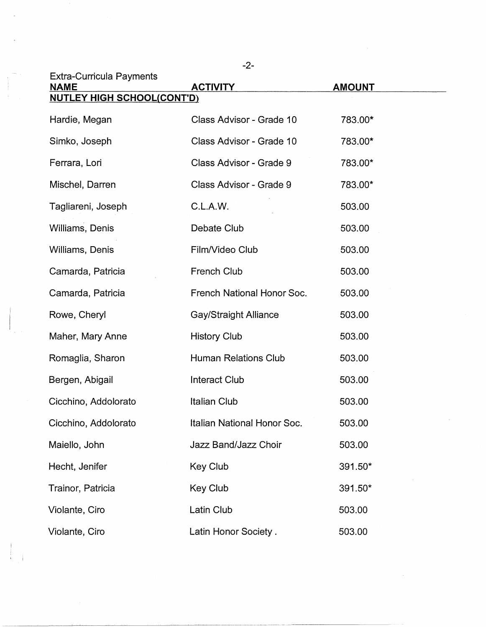| <b>Extra-Curricula Payments</b><br><b>NAME</b> | <b>ACTIVITY</b>              | <b>AMOUNT</b> |  |  |
|------------------------------------------------|------------------------------|---------------|--|--|
| <b>NUTLEY HIGH SCHOOL(CONT'D)</b>              |                              |               |  |  |
| Hardie, Megan                                  | Class Advisor - Grade 10     | 783.00*       |  |  |
| Simko, Joseph                                  | Class Advisor - Grade 10     | 783.00*       |  |  |
| Ferrara, Lori                                  | Class Advisor - Grade 9      | 783.00*       |  |  |
| Mischel, Darren                                | Class Advisor - Grade 9      | 783.00*       |  |  |
| Tagliareni, Joseph                             | C.L.A.W.                     | 503.00        |  |  |
| Williams, Denis                                | Debate Club                  | 503.00        |  |  |
| Williams, Denis                                | Film/Video Club              | 503.00        |  |  |
| Camarda, Patricia                              | French Club                  | 503.00        |  |  |
| Camarda, Patricia                              | French National Honor Soc.   | 503.00        |  |  |
| Rowe, Cheryl                                   | <b>Gay/Straight Alliance</b> | 503.00        |  |  |
| Maher, Mary Anne                               | <b>History Club</b>          | 503.00        |  |  |
| Romaglia, Sharon                               | <b>Human Relations Club</b>  | 503.00        |  |  |
| Bergen, Abigail                                | <b>Interact Club</b>         | 503.00        |  |  |
| Cicchino, Addolorato                           | <b>Italian Club</b>          | 503.00        |  |  |
| Cicchino, Addolorato                           | Italian National Honor Soc.  | 503.00        |  |  |
| Maiello, John                                  | Jazz Band/Jazz Choir         | 503.00        |  |  |
| Hecht, Jenifer                                 | Key Club                     | 391.50*       |  |  |
| Trainor, Patricia                              | <b>Key Club</b>              | 391.50*       |  |  |
| Violante, Ciro                                 | Latin Club                   | 503.00        |  |  |
| Violante, Ciro                                 | Latin Honor Society.         | 503.00        |  |  |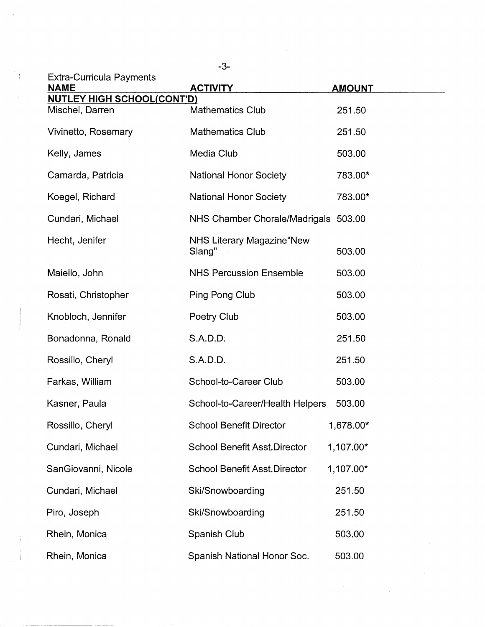| <b>Extra-Curricula Payments</b>                      |                                             |               |
|------------------------------------------------------|---------------------------------------------|---------------|
| <b>NAME</b>                                          | <b>ACTIVITY</b>                             | <b>AMOUNT</b> |
| <b>NUTLEY HIGH SCHOOL(CONT'D)</b><br>Mischel, Darren | <b>Mathematics Club</b>                     | 251.50        |
| Vivinetto, Rosemary                                  | <b>Mathematics Club</b>                     | 251.50        |
| Kelly, James                                         | Media Club                                  | 503.00        |
| Camarda, Patricia                                    | <b>National Honor Society</b>               | 783.00*       |
| Koegel, Richard                                      | <b>National Honor Society</b>               | 783.00*       |
| Cundari, Michael                                     | NHS Chamber Chorale/Madrigals 503.00        |               |
| Hecht, Jenifer                                       | <b>NHS Literary Magazine "New</b><br>Slang" | 503.00        |
| Maiello, John                                        | <b>NHS Percussion Ensemble</b>              | 503.00        |
| Rosati, Christopher                                  | Ping Pong Club                              | 503.00        |
| Knobloch, Jennifer                                   | Poetry Club                                 | 503.00        |
| Bonadonna, Ronald                                    | S.A.D.D.                                    | 251.50        |
| Rossillo, Cheryl                                     | S.A.D.D.                                    | 251.50        |
| Farkas, William                                      | School-to-Career Club                       | 503.00        |
| Kasner, Paula                                        | School-to-Career/Health Helpers             | 503.00        |
| Rossillo, Cheryl                                     | <b>School Benefit Director</b>              | 1,678.00*     |
| Cundari, Michael                                     | <b>School Benefit Asst.Director</b>         | 1,107.00*     |
| SanGiovanni, Nicole                                  | <b>School Benefit Asst.Director</b>         | 1,107.00*     |
| Cundari, Michael                                     | Ski/Snowboarding                            | 251.50        |
| Piro, Joseph                                         | Ski/Snowboarding                            | 251.50        |
| Rhein, Monica                                        | Spanish Club                                | 503.00        |
| Rhein, Monica                                        | Spanish National Honor Soc.                 | 503.00        |

Ŷ,

-3-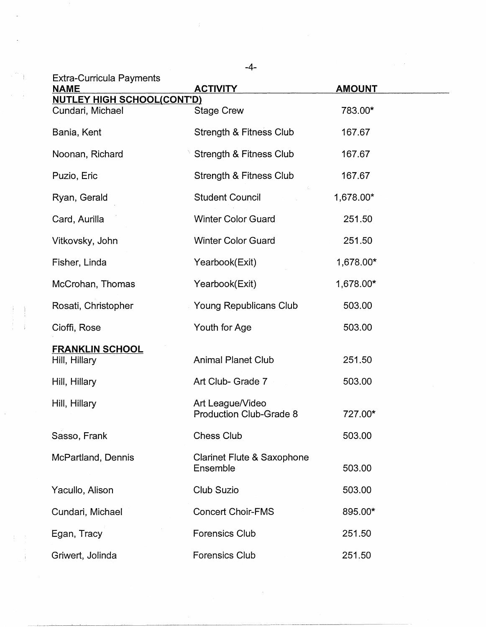|                                                       | $-4-$                                             |               |
|-------------------------------------------------------|---------------------------------------------------|---------------|
| <b>Extra-Curricula Payments</b><br><b>NAME</b>        | <b>ACTIVITY</b>                                   | <b>AMOUNT</b> |
| <b>NUTLEY HIGH SCHOOL(CONT'D)</b><br>Cundari, Michael | <b>Stage Crew</b>                                 | 783.00*       |
| Bania, Kent                                           | <b>Strength &amp; Fitness Club</b>                | 167.67        |
| Noonan, Richard                                       | Strength & Fitness Club                           | 167.67        |
| Puzio, Eric                                           | Strength & Fitness Club                           | 167.67        |
| Ryan, Gerald                                          | <b>Student Council</b>                            | 1,678.00*     |
| Card, Aurilla                                         | <b>Winter Color Guard</b>                         | 251.50        |
| Vitkovsky, John                                       | <b>Winter Color Guard</b>                         | 251.50        |
| Fisher, Linda                                         | Yearbook(Exit)                                    | 1,678.00*     |
| McCrohan, Thomas                                      | Yearbook(Exit)                                    | 1,678.00*     |
| Rosati, Christopher                                   | Young Republicans Club                            | 503.00        |
| Cioffi, Rose                                          | Youth for Age                                     | 503.00        |
| <b>FRANKLIN SCHOOL</b><br>Hill, Hillary               | <b>Animal Planet Club</b>                         | 251.50        |
| Hill, Hillary                                         | Art Club- Grade 7                                 | 503.00        |
| Hill, Hillary                                         | Art League/Video<br>Production Club-Grade 8       | 727.00*       |
| Sasso, Frank                                          | <b>Chess Club</b>                                 | 503.00        |
| McPartland, Dennis                                    | <b>Clarinet Flute &amp; Saxophone</b><br>Ensemble | 503.00        |
| Yacullo, Alison                                       | Club Suzio                                        | 503.00        |
| Cundari, Michael                                      | <b>Concert Choir-FMS</b>                          | 895.00*       |
| Egan, Tracy                                           | <b>Forensics Club</b>                             | 251.50        |
| Griwert, Jolinda                                      | <b>Forensics Club</b>                             | 251.50        |

 $\label{eq:2.1} \frac{1}{T} \sum_{i=1}^T \frac{1}{T_i} \sum_{j=1}^T \frac{1}{T_j} \sum_{j=1}^T \frac{1}{T_j} \sum_{j=1}^T \frac{1}{T_j} \sum_{j=1}^T \frac{1}{T_j} \sum_{j=1}^T \frac{1}{T_j} \sum_{j=1}^T \frac{1}{T_j} \sum_{j=1}^T \frac{1}{T_j} \sum_{j=1}^T \frac{1}{T_j} \sum_{j=1}^T \frac{1}{T_j} \sum_{j=1}^T \frac{1}{T_j} \sum_{j=1}^T \frac{1}{T_j}$ 

 $\frac{1}{\sqrt{2}}$ 

 $\label{eq:2.1} \frac{1}{\sqrt{2\pi}}\int_{0}^{\infty}\frac{1}{\sqrt{2\pi}}\left(\frac{1}{\sqrt{2\pi}}\right)^{2\alpha} \frac{d\alpha}{\alpha} \,d\beta$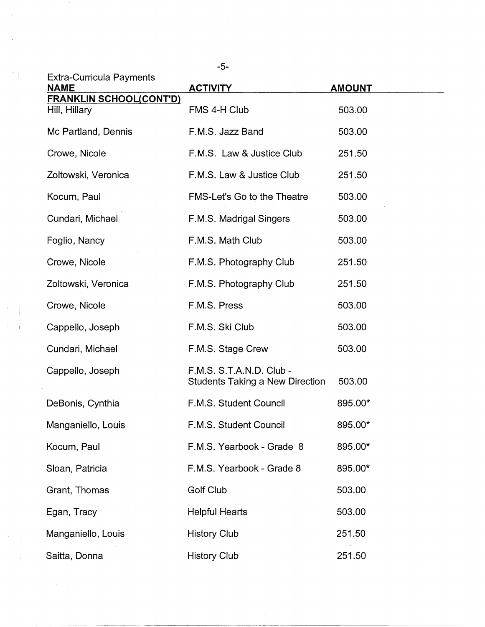|                                                 | $-5-$                                                              |               |
|-------------------------------------------------|--------------------------------------------------------------------|---------------|
| <b>Extra-Curricula Payments</b><br><b>NAME</b>  | <b>ACTIVITY</b>                                                    | <b>AMOUNT</b> |
| <b>FRANKLIN SCHOOL(CONT'D)</b><br>Hill, Hillary | FMS 4-H Club                                                       | 503.00        |
| Mc Partland, Dennis                             | F.M.S. Jazz Band                                                   | 503.00        |
| Crowe, Nicole                                   | F.M.S. Law & Justice Club                                          | 251.50        |
| Zoltowski, Veronica                             | F.M.S. Law & Justice Club                                          | 251.50        |
| Kocum, Paul                                     | <b>FMS-Let's Go to the Theatre</b>                                 | 503.00        |
| Cundari, Michael                                | F.M.S. Madrigal Singers                                            | 503.00        |
| Foglio, Nancy                                   | F.M.S. Math Club                                                   | 503.00        |
| Crowe, Nicole                                   | F.M.S. Photography Club                                            | 251.50        |
| Zoltowski, Veronica                             | F.M.S. Photography Club                                            | 251.50        |
| Crowe, Nicole                                   | F.M.S. Press                                                       | 503.00        |
| Cappello, Joseph                                | F.M.S. Ski Club                                                    | 503.00        |
| Cundari, Michael                                | F.M.S. Stage Crew                                                  | 503.00        |
| Cappello, Joseph                                | F.M.S. S.T.A.N.D. Club -<br><b>Students Taking a New Direction</b> | 503.00        |
| DeBonis, Cynthia                                | F.M.S. Student Council                                             | 895.00*       |
| Manganiello, Louis                              | F.M.S. Student Council                                             | 895.00*       |
| Kocum, Paul                                     | F.M.S. Yearbook - Grade 8                                          | 895.00*       |
| Sloan, Patricia                                 | F.M.S. Yearbook - Grade 8                                          | 895.00*       |
| Grant, Thomas                                   | Golf Club                                                          | 503.00        |
| Egan, Tracy                                     | <b>Helpful Hearts</b>                                              | 503.00        |
| Manganiello, Louis                              | <b>History Club</b>                                                | 251.50        |
| Saitta, Donna                                   | <b>History Club</b>                                                | 251.50        |

 $\sim$ 

 $\frac{1}{\sqrt{2}}$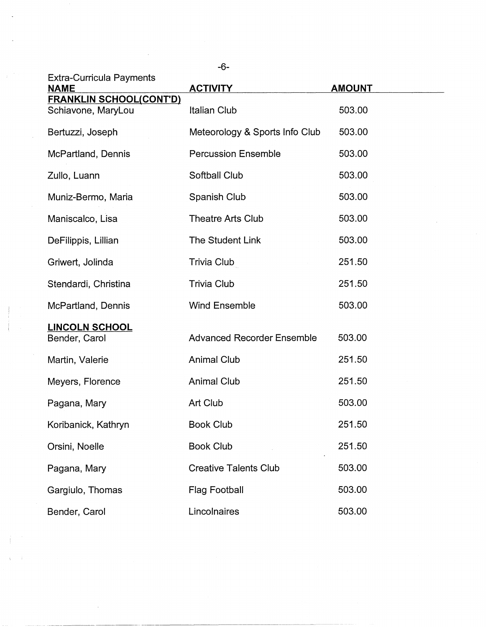| $-6-$                                                |                                   |               |
|------------------------------------------------------|-----------------------------------|---------------|
| <b>Extra-Curricula Payments</b><br><b>NAME</b>       | <b>ACTIVITY</b>                   | <b>AMOUNT</b> |
| <b>FRANKLIN SCHOOL(CONT'D)</b><br>Schiavone, MaryLou | <b>Italian Club</b>               | 503.00        |
| Bertuzzi, Joseph                                     | Meteorology & Sports Info Club    | 503.00        |
| McPartland, Dennis                                   | <b>Percussion Ensemble</b>        | 503.00        |
| Zullo, Luann                                         | Softball Club                     | 503.00        |
| Muniz-Bermo, Maria                                   | Spanish Club                      | 503.00        |
| Maniscalco, Lisa                                     | <b>Theatre Arts Club</b>          | 503.00        |
| DeFilippis, Lillian                                  | The Student Link                  | 503.00        |
| Griwert, Jolinda                                     | Trivia Club                       | 251.50        |
| Stendardi, Christina                                 | <b>Trivia Club</b>                | 251.50        |
| McPartland, Dennis                                   | <b>Wind Ensemble</b>              | 503.00        |
| <b>LINCOLN SCHOOL</b><br>Bender, Carol               | <b>Advanced Recorder Ensemble</b> | 503.00        |
| Martin, Valerie                                      | <b>Animal Club</b>                | 251.50        |
| Meyers, Florence                                     | <b>Animal Club</b>                | 251.50        |
| Pagana, Mary                                         | Art Club                          | 503.00        |
| Koribanick, Kathryn                                  | <b>Book Club</b>                  | 251.50        |
| Orsini, Noelle                                       | <b>Book Club</b>                  | 251.50        |
| Pagana, Mary                                         | <b>Creative Talents Club</b>      | 503.00        |
| Gargiulo, Thomas                                     | <b>Flag Football</b>              | 503.00        |
| Bender, Carol                                        | Lincolnaires                      | 503.00        |

----- --------

 $\label{eq:2.1} \frac{1}{\sqrt{2}}\int_{\mathbb{R}^3}\frac{1}{\sqrt{2}}\left(\frac{1}{\sqrt{2}}\right)^2\frac{1}{\sqrt{2}}\left(\frac{1}{\sqrt{2}}\right)^2\frac{1}{\sqrt{2}}\left(\frac{1}{\sqrt{2}}\right)^2\frac{1}{\sqrt{2}}\left(\frac{1}{\sqrt{2}}\right)^2.$ 

 $\int_{\mathbb{R}^n} \left| \frac{d\mu}{d\mu} \right| \, d\mu = \int_{\mathbb{R}^n} \left| \frac{d\mu}{d\mu} \right| \, d\mu = \int_{\mathbb{R}^n} \left| \frac{d\mu}{d\mu} \right| \, d\mu = \int_{\mathbb{R}^n} \left| \frac{d\mu}{d\mu} \right| \, d\mu = \int_{\mathbb{R}^n} \left| \frac{d\mu}{d\mu} \right| \, d\mu = \int_{\mathbb{R}^n} \left| \frac{d\mu}{d\mu} \right| \, d\mu = \int_{\mathbb{R}^$ 

 $\chi_{\rm c} = -1$ 

 $\sim$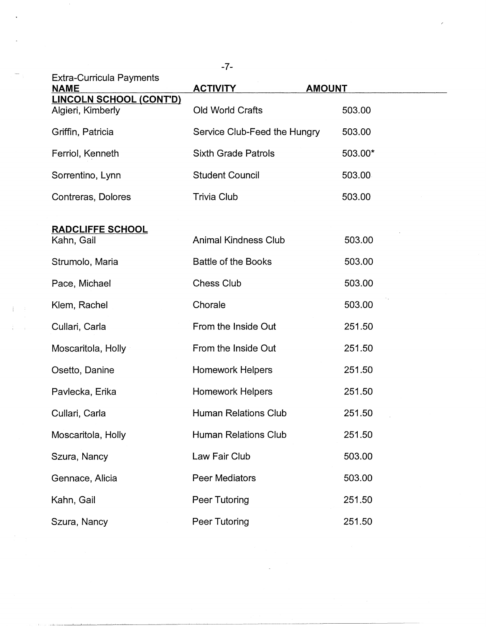| <b>Extra-Curricula Payments</b>                     |                              |               |
|-----------------------------------------------------|------------------------------|---------------|
| <b>NAME</b>                                         | <b>ACTIVITY</b>              | <b>AMOUNT</b> |
| <b>LINCOLN SCHOOL (CONT'D)</b><br>Algieri, Kimberly | Old World Crafts             | 503.00        |
| Griffin, Patricia                                   | Service Club-Feed the Hungry | 503.00        |
| Ferriol, Kenneth                                    | <b>Sixth Grade Patrols</b>   | 503.00*       |
| Sorrentino, Lynn                                    | <b>Student Council</b>       | 503.00        |
| Contreras, Dolores                                  | Trivia Club                  | 503.00        |
| <b>RADCLIFFE SCHOOL</b><br>Kahn, Gail               | <b>Animal Kindness Club</b>  | 503.00        |
| Strumolo, Maria                                     | <b>Battle of the Books</b>   | 503.00        |
| Pace, Michael                                       | <b>Chess Club</b>            | 503.00        |
| Klem, Rachel                                        | Chorale                      | 503.00        |
| Cullari, Carla                                      | From the Inside Out          | 251.50        |
| Moscaritola, Holly                                  | From the Inside Out          | 251.50        |
| Osetto, Danine                                      | <b>Homework Helpers</b>      | 251.50        |
| Pavlecka, Erika                                     | <b>Homework Helpers</b>      | 251.50        |
| Cullari, Carla                                      | <b>Human Relations Club</b>  | 251.50        |
| Moscaritola, Holly                                  | <b>Human Relations Club</b>  | 251.50        |
| Szura, Nancy                                        | Law Fair Club                | 503.00        |
| Gennace, Alicia                                     | Peer Mediators               | 503.00        |
| Kahn, Gail                                          | Peer Tutoring                | 251.50        |
| Szura, Nancy                                        | Peer Tutoring                | 251.50        |

 $\mathcal{L}^{\text{max}}_{\text{max}}$ 

-7-

 $\hat{\mathcal{E}}$ 

 $\bar{\beta}$ 

 $\Gamma$  ,  $\Gamma$ 

 $\frac{1}{4} \leq \frac{1}{2}$  .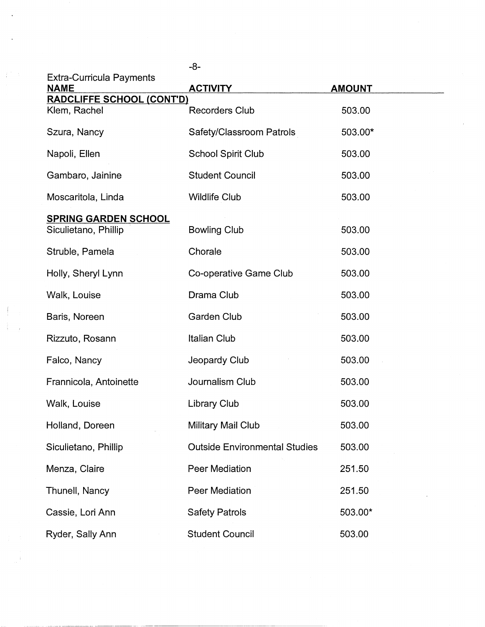|                                                     | -8-                                  |               |
|-----------------------------------------------------|--------------------------------------|---------------|
| <b>Extra-Curricula Payments</b><br><b>NAME</b>      | <b>ACTIVITY</b>                      | <b>AMOUNT</b> |
| <b>RADCLIFFE SCHOOL (CONT'D)</b><br>Klem, Rachel    | <b>Recorders Club</b>                | 503.00        |
| Szura, Nancy                                        | Safety/Classroom Patrols             | 503.00*       |
| Napoli, Ellen                                       | <b>School Spirit Club</b>            | 503.00        |
| Gambaro, Jainine                                    | <b>Student Council</b>               | 503.00        |
| Moscaritola, Linda                                  | <b>Wildlife Club</b>                 | 503.00        |
| <b>SPRING GARDEN SCHOOL</b><br>Siculietano, Phillip | <b>Bowling Club</b>                  | 503.00        |
| Struble, Pamela                                     | Chorale                              | 503.00        |
| Holly, Sheryl Lynn                                  | Co-operative Game Club               | 503.00        |
| Walk, Louise                                        | Drama Club                           | 503.00        |
| Baris, Noreen                                       | <b>Garden Club</b>                   | 503.00        |
| Rizzuto, Rosann                                     | <b>Italian Club</b>                  | 503.00        |
| Falco, Nancy                                        | Jeopardy Club                        | 503.00        |
| Frannicola, Antoinette                              | Journalism Club                      | 503.00        |
| Walk, Louise                                        | <b>Library Club</b>                  | 503.00        |
| Holland, Doreen                                     | Military Mail Club                   | 503.00        |
| Siculietano, Phillip                                | <b>Outside Environmental Studies</b> | 503.00        |
| Menza, Claire                                       | <b>Peer Mediation</b>                | 251.50        |
| Thunell, Nancy                                      | <b>Peer Mediation</b>                | 251.50        |
| Cassie, Lori Ann                                    | <b>Safety Patrols</b>                | 503.00*       |
| Ryder, Sally Ann                                    | <b>Student Council</b>               | 503.00        |

 $\hat{\boldsymbol{\theta}}$ 

 $\mathcal{A}$ 

 $\mathbb{R}^2$ 

 $\int_0^{\frac{1}{2}} \frac{1}{\sqrt{2}}$ 

 $\begin{array}{c} \begin{array}{c} \text{1}\\ \text{2}\\ \text{3}\\ \text{4}\\ \text{5}\\ \end{array} \end{array}$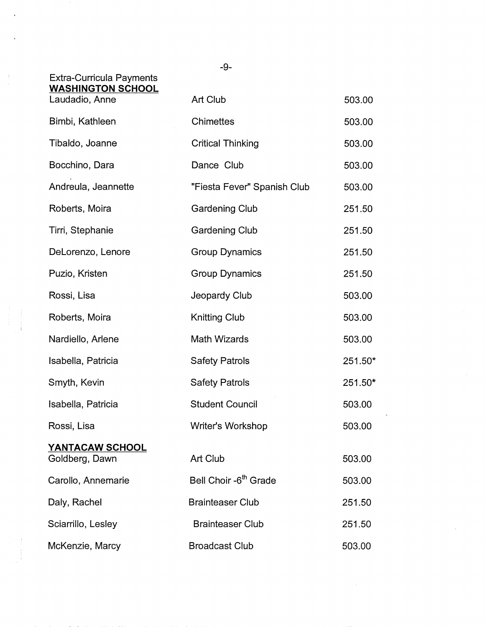|                                                                               | $-9-$                             |         |
|-------------------------------------------------------------------------------|-----------------------------------|---------|
| <b>Extra-Curricula Payments</b><br><b>WASHINGTON SCHOOL</b><br>Laudadio, Anne | Art Club                          | 503.00  |
| Bimbi, Kathleen                                                               | Chimettes                         | 503.00  |
| Tibaldo, Joanne                                                               | <b>Critical Thinking</b>          | 503.00  |
| Bocchino, Dara                                                                | Dance Club                        | 503.00  |
| Andreula, Jeannette                                                           | "Fiesta Fever" Spanish Club       | 503.00  |
| Roberts, Moira                                                                | <b>Gardening Club</b>             | 251.50  |
| Tirri, Stephanie                                                              | <b>Gardening Club</b>             | 251.50  |
| DeLorenzo, Lenore                                                             | <b>Group Dynamics</b>             | 251.50  |
| Puzio, Kristen                                                                | <b>Group Dynamics</b>             | 251.50  |
| Rossi, Lisa                                                                   | Jeopardy Club                     | 503.00  |
| Roberts, Moira                                                                | Knitting Club                     | 503.00  |
| Nardiello, Arlene                                                             | Math Wizards                      | 503.00  |
| Isabella, Patricia                                                            | <b>Safety Patrols</b>             | 251.50* |
| Smyth, Kevin                                                                  | <b>Safety Patrols</b>             | 251.50* |
| Isabella, Patricia                                                            | <b>Student Council</b>            | 503.00  |
| Rossi, Lisa                                                                   | Writer's Workshop                 | 503.00  |
| YANTACAW SCHOOL<br>Goldberg, Dawn                                             | Art Club                          | 503.00  |
| Carollo, Annemarie                                                            | Bell Choir -6 <sup>th</sup> Grade | 503.00  |
| Daly, Rachel                                                                  | <b>Brainteaser Club</b>           | 251.50  |
| Sciarrillo, Lesley                                                            | <b>Brainteaser Club</b>           | 251.50  |
| McKenzie, Marcy                                                               | <b>Broadcast Club</b>             | 503.00  |

 $\begin{array}{c} 1 \\ 1 \\ 2 \end{array}$